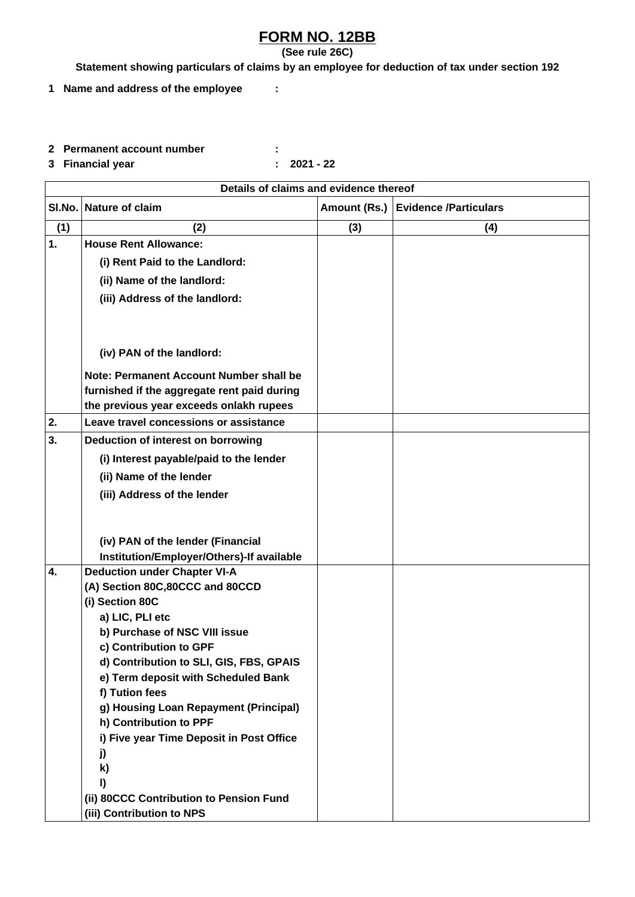## **FORM NO. 12BB**

**(See rule 26C)**

**Statement showing particulars of claims by an employee for deduction of tax under section 192**

**1 Name and address of the employee :**

## **2 Permanent account number :**

**3 Financial year : 2021 - 22**

| Details of claims and evidence thereof |                                                                                |     |                                    |  |
|----------------------------------------|--------------------------------------------------------------------------------|-----|------------------------------------|--|
| SI.No.                                 | <b>Nature of claim</b>                                                         |     | Amount (Rs.) Evidence /Particulars |  |
| (1)                                    | (2)                                                                            | (3) | (4)                                |  |
| 1.                                     | <b>House Rent Allowance:</b>                                                   |     |                                    |  |
|                                        | (i) Rent Paid to the Landlord:                                                 |     |                                    |  |
|                                        | (ii) Name of the landlord:                                                     |     |                                    |  |
|                                        | (iii) Address of the landlord:                                                 |     |                                    |  |
|                                        |                                                                                |     |                                    |  |
|                                        |                                                                                |     |                                    |  |
|                                        | (iv) PAN of the landlord:                                                      |     |                                    |  |
|                                        | Note: Permanent Account Number shall be                                        |     |                                    |  |
|                                        | furnished if the aggregate rent paid during                                    |     |                                    |  |
|                                        | the previous year exceeds onlakh rupees                                        |     |                                    |  |
| 2.                                     | Leave travel concessions or assistance                                         |     |                                    |  |
| 3.                                     | Deduction of interest on borrowing                                             |     |                                    |  |
|                                        | (i) Interest payable/paid to the lender                                        |     |                                    |  |
|                                        |                                                                                |     |                                    |  |
|                                        | (ii) Name of the lender                                                        |     |                                    |  |
|                                        | (iii) Address of the lender                                                    |     |                                    |  |
|                                        |                                                                                |     |                                    |  |
|                                        |                                                                                |     |                                    |  |
|                                        | (iv) PAN of the lender (Financial<br>Institution/Employer/Others)-If available |     |                                    |  |
| 4.                                     | <b>Deduction under Chapter VI-A</b>                                            |     |                                    |  |
|                                        | (A) Section 80C, 80CCC and 80CCD                                               |     |                                    |  |
|                                        | (i) Section 80C                                                                |     |                                    |  |
|                                        | a) LIC, PLI etc                                                                |     |                                    |  |
|                                        | b) Purchase of NSC VIII issue                                                  |     |                                    |  |
|                                        | c) Contribution to GPF                                                         |     |                                    |  |
|                                        | d) Contribution to SLI, GIS, FBS, GPAIS                                        |     |                                    |  |
|                                        | e) Term deposit with Scheduled Bank                                            |     |                                    |  |
|                                        | f) Tution fees                                                                 |     |                                    |  |
|                                        | g) Housing Loan Repayment (Principal)                                          |     |                                    |  |
|                                        | h) Contribution to PPF<br>i) Five year Time Deposit in Post Office             |     |                                    |  |
|                                        | j)                                                                             |     |                                    |  |
|                                        | k)                                                                             |     |                                    |  |
|                                        | I)                                                                             |     |                                    |  |
|                                        | (ii) 80CCC Contribution to Pension Fund                                        |     |                                    |  |
|                                        | (iii) Contribution to NPS                                                      |     |                                    |  |